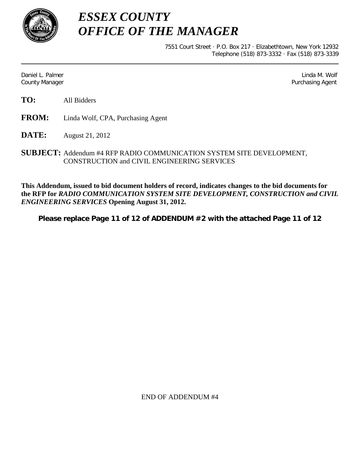

*ESSEX COUNTY OFFICE OF THE MANAGER*

> 7551 Court Street · P.O. Box 217 · Elizabethtown, New York 12932 Telephone (518) 873-3332 · Fax (518) 873-3339

Daniel L. Palmer Later and the control of the control of the control of the control of the control of the control of the control of the control of the control of the control of the control of the control of the control of County Manager Purchasing Agent

- **TO:** All Bidders
- **FROM:** Linda Wolf, CPA, Purchasing Agent
- **DATE:** August 21, 2012
- **SUBJECT:** Addendum #4 RFP RADIO COMMUNICATION SYSTEM SITE DEVELOPMENT, CONSTRUCTION and CIVIL ENGINEERING SERVICES

**This Addendum, issued to bid document holders of record, indicates changes to the bid documents for the RFP for** *RADIO COMMUNICATION SYSTEM SITE DEVELOPMENT, CONSTRUCTION and CIVIL ENGINEERING SERVICES* **Opening August 31, 2012.**

**Please replace Page 11 of 12 of ADDENDUM #2 with the attached Page 11 of 12**

END OF ADDENDUM #4